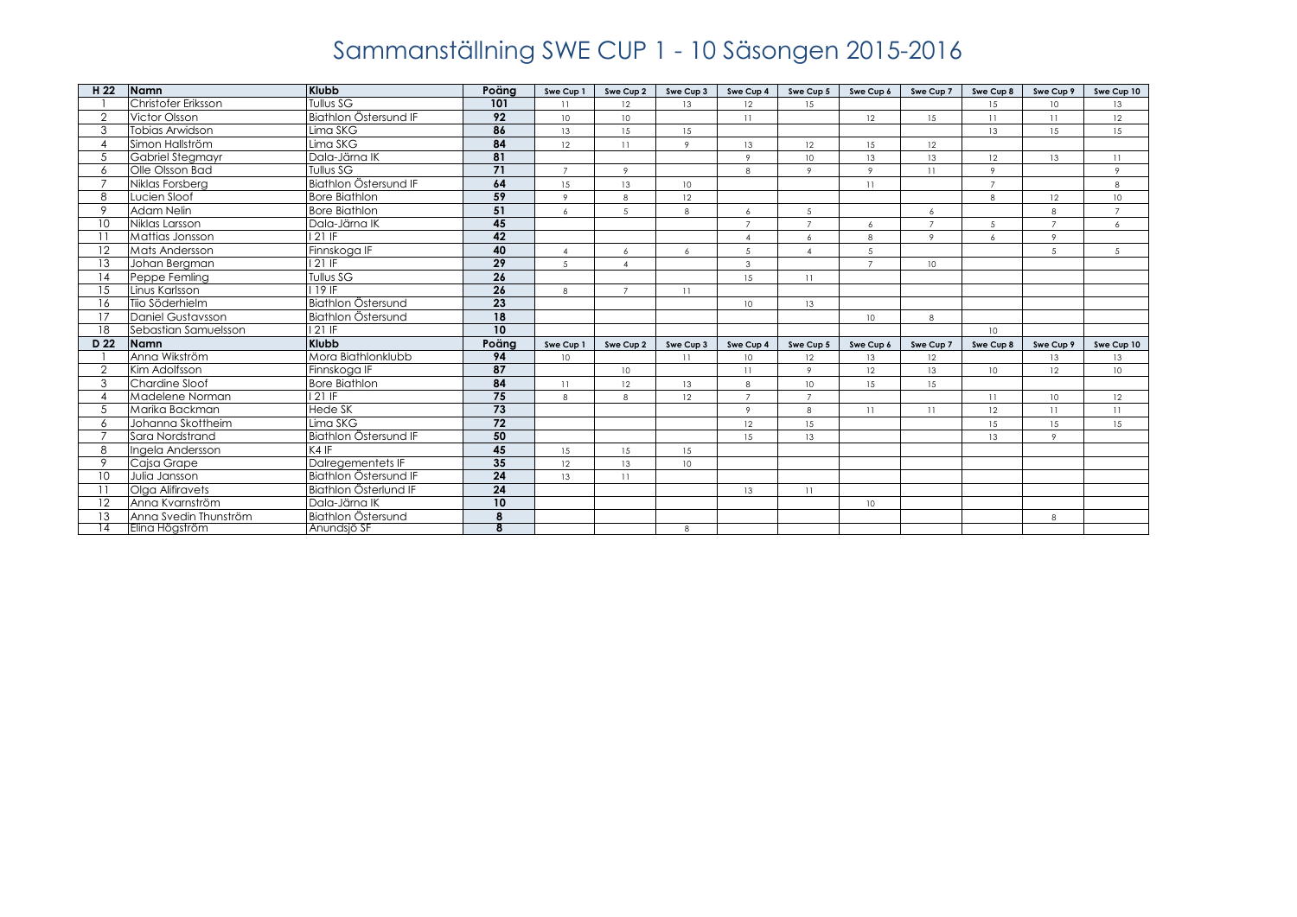| H <sub>22</sub> | Namn                     | <b>Klubb</b>          | Poäng                   | Swe Cup 1       | Swe Cup 2       | Swe Cup 3      | Swe Cup 4              | Swe Cup 5      | Swe Cup 6       | Swe Cup 7      | Swe Cup 8        | Swe Cup 9       | Swe Cup 10      |
|-----------------|--------------------------|-----------------------|-------------------------|-----------------|-----------------|----------------|------------------------|----------------|-----------------|----------------|------------------|-----------------|-----------------|
|                 | Christofer Eriksson      | Tullus SG             | 101                     | 11              | 12              | 13             | 12                     | 15             |                 |                | 15               | 10 <sup>°</sup> | 13              |
| $\overline{2}$  | Victor Olsson            | Biathlon Östersund IF | $\overline{92}$         | 10 <sup>°</sup> | 10 <sup>°</sup> |                | 11                     |                | 12              | 15             | 11               | 11              | 12              |
| 3               | Tobias Arwidson          | Lima SKG              | 86                      | 13              | 15              | 15             |                        |                |                 |                | 13               | 15              | 15              |
|                 | Simon Hallström          | Lima SKG              | 84                      | 12              | 11              | $\overline{9}$ | 13                     | 12             | 15              | 12             |                  |                 |                 |
| .5              | <b>Gabriel Stegmayr</b>  | Dala-Järna IK         | 81                      |                 |                 |                | $\circ$                | 10             | 13              | 13             | 12               | 13              | 11              |
| 6               | Olle Olsson Bad          | Tullus SG             | 71                      | $\overline{7}$  | $\overline{9}$  |                | 8                      | $\circ$        | $\circ$         | 11             | $\circ$          |                 | $\overline{9}$  |
|                 | Niklas Forsberg          | Biathlon Östersund IF | 64                      | 15              | 13              | 10             |                        |                | 11              |                | $\overline{7}$   |                 | 8               |
| 8               | Lucien Sloof             | <b>Bore Biathlon</b>  | 59                      | $\circ$         | 8               | 12             |                        |                |                 |                | 8                | 12              | 10              |
| $\circ$         | Adam Nelin               | <b>Bore Biathlon</b>  | 51                      | 6               | 5               | 8              | 6                      | 5              |                 | 6              |                  | 8               | $\overline{7}$  |
| 10              | Niklas Larsson           | Dala-Järna IK         | 45                      |                 |                 |                | $\overline{z}$         | $\overline{7}$ | 6               | $\overline{7}$ | 5                | $\overline{7}$  | 6               |
|                 | Mattias Jonsson          | 121 IF                | 42                      |                 |                 |                | $\boldsymbol{\Lambda}$ | 6              | 8               | $\circ$        | 6                | 9               |                 |
| 12              | Mats Andersson           | Finnskoga IF          | 40                      | $\mathbf{A}$    | 6               | 6              | 5                      | $\Lambda$      | 5               |                |                  | 5               | 5               |
| 13              | Johan Bergman            | $121$ IF              | $\overline{29}$         | $\overline{5}$  | $\overline{4}$  |                | 3                      |                | $\overline{7}$  | 10             |                  |                 |                 |
| 14              | Peppe Femling            | Tullus SG             | 26                      |                 |                 |                | 15                     | 11             |                 |                |                  |                 |                 |
| 15              | Linus Karlsson           | 119 IF                | $\overline{26}$         | 8               | $\overline{7}$  | 11             |                        |                |                 |                |                  |                 |                 |
| 16              | Tijo Söderhielm          | Biathlon Östersund    | $\overline{23}$         |                 |                 |                | 10 <sup>°</sup>        | 13             |                 |                |                  |                 |                 |
| 17              | <b>Daniel Gustavsson</b> | Biathlon Östersund    | 18                      |                 |                 |                |                        |                | 10 <sup>°</sup> | 8              |                  |                 |                 |
| 18              | Sebastian Samuelsson     | 121 IF                | 10                      |                 |                 |                |                        |                |                 |                | 10 <sup>10</sup> |                 |                 |
| D <sub>22</sub> | Namn                     | <b>Klubb</b>          | Poäng                   | Swe Cup 1       | Swe Cup 2       | Swe Cup 3      | Swe Cup 4              | Swe Cup 5      | Swe Cup 6       | Swe Cup 7      | Swe Cup 8        | Swe Cup 9       | Swe Cup 10      |
|                 | Anna Wikström            | Mora Biathlonklubb    | 94                      | 10              |                 | 11             | 10                     | 12             | 13              | 12             |                  | 13              | 13              |
| $\mathcal{P}$   | Kim Adolfsson            | Finnskoga IF          | 87                      |                 | 10 <sup>°</sup> |                | 11                     | $\circ$        | 12              | 13             | 10 <sup>°</sup>  | 12              | 10 <sup>°</sup> |
| 3               | Chardine Sloof           | <b>Bore Biathlon</b>  | 84                      | 11              | 12              | 13             | 8                      | 10             | 15              | 15             |                  |                 |                 |
|                 | Madelene Norman          | $121 \overline{F}$    | 75                      | $\mathbf{8}$    | 8               | 12             | $\overline{z}$         | $\overline{7}$ |                 |                | 11               | 10 <sup>°</sup> | 12              |
| 5               | Marika Backman           | <b>Hede SK</b>        | 73                      |                 |                 |                | $\circ$                | 8              | 11              | 11             | 12               | 11              | $\overline{11}$ |
| 6               | Johanna Skottheim        | Lima SKG              | 72                      |                 |                 |                | 12                     | 15             |                 |                | 15               | 15              | 15              |
|                 | Sara Nordstrand          | Biathlon Östersund IF | 50                      |                 |                 |                | 15                     | 13             |                 |                | 13               | 9               |                 |
| 8               | Ingela Andersson         | K4IF                  | 45                      | 15              | 15              | 15             |                        |                |                 |                |                  |                 |                 |
| $\circ$         | Caisa Grape              | Dalregementets IF     | 35                      | 12              | 13              | 10             |                        |                |                 |                |                  |                 |                 |
| 10              | Julia Jansson            | Biathlon Östersund IF | $\overline{24}$         | 13              | 11              |                |                        |                |                 |                |                  |                 |                 |
|                 | Olga Alifiravets         | Biathlon Österlund IF | $\overline{24}$         |                 |                 |                | 13                     | 11             |                 |                |                  |                 |                 |
| 12              | Anna Kvarnström          | Dala-Järna IK         | $\overline{10}$         |                 |                 |                |                        |                | 10              |                |                  |                 |                 |
| 13              | Anna Svedin Thunström    | Biathlon Östersund    | 8                       |                 |                 |                |                        |                |                 |                |                  | 8               |                 |
| $\overline{4}$  | Elina Högström           | Anundsjö SF           | $\overline{\mathbf{8}}$ |                 |                 | 8              |                        |                |                 |                |                  |                 |                 |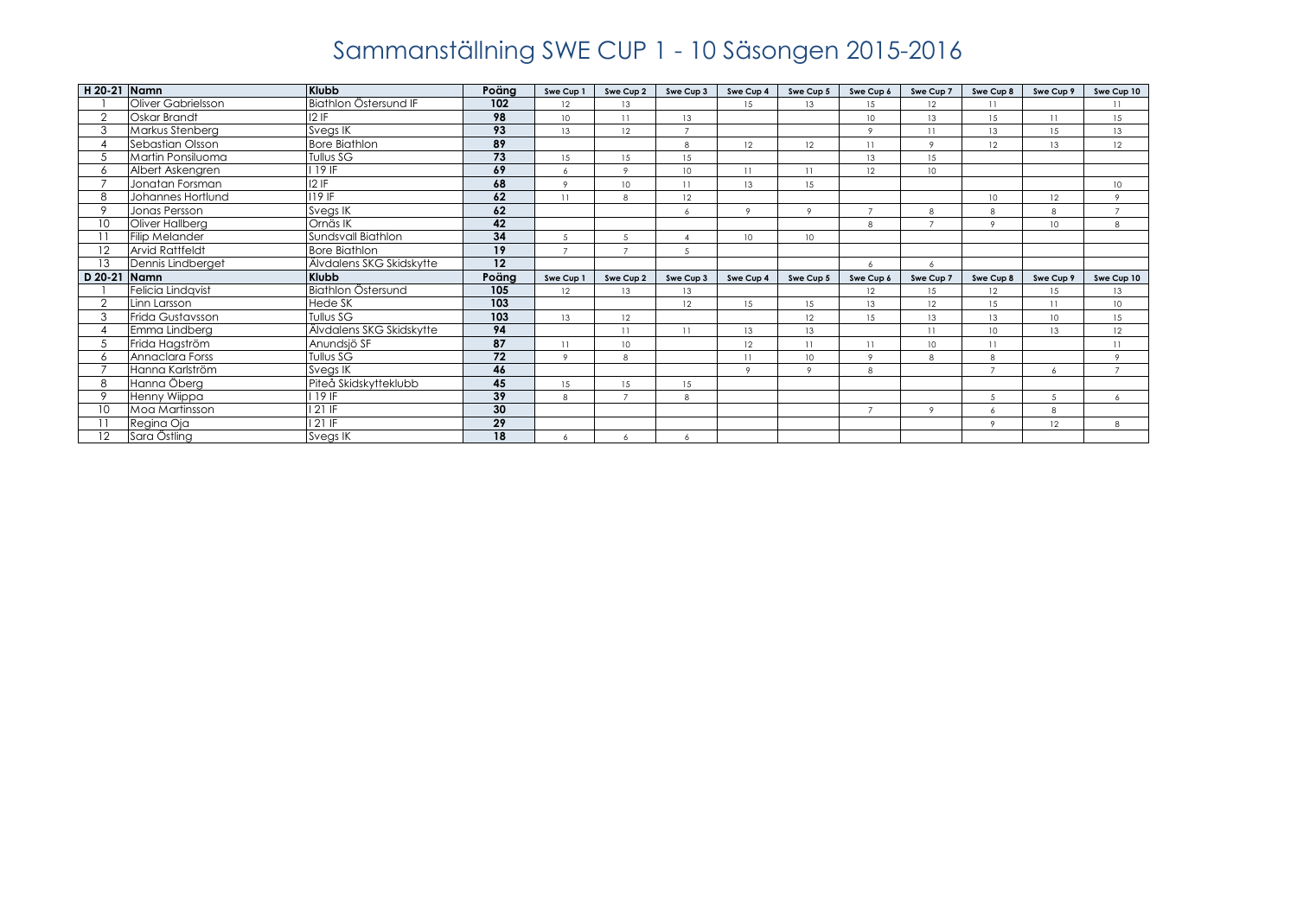| H 20-21 Namn |                        | Klubb                    | Poäng           | Swe Cup 1        | Swe Cup 2       | Swe Cup 3       | Swe Cup 4       | Swe Cup 5        | Swe Cup 6      | Swe Cup 7 | Swe Cup 8        | Swe Cup 9        | Swe Cup 10       |
|--------------|------------------------|--------------------------|-----------------|------------------|-----------------|-----------------|-----------------|------------------|----------------|-----------|------------------|------------------|------------------|
|              | Oliver Gabrielsson     | Biathlon Östersund IF    | 102             | 12               | 13              |                 | 15              | 13               | 15             | 12        | 11               |                  | 11               |
| $\Omega$     | Oskar Brandt           | $12$ IF                  | 98              | 10 <sup>10</sup> | 11              | 13              |                 |                  | 10             | 13        | 15               | 11               | 15               |
| 3            | Markus Stenberg        | Svegs IK                 | 93              | 13               | 12              | $\overline{ }$  |                 |                  | $\circ$        | 11        | 13               | 15               | 13               |
|              | Sebastian Olsson       | <b>Bore Biathlon</b>     | 89              |                  |                 | 8               | 12              | 12               | 11             | $\circ$   | 12               | 13               | 12               |
|              | Martin Ponsiluoma      | Tullus SG                | 73              | 15               | 15              | 15              |                 |                  | 13             | 15        |                  |                  |                  |
| 6            | Albert Askengren       | 19IF                     | 69              | 6                | $\circ$         | 10 <sup>°</sup> | 11              | 11               | 12             | 10        |                  |                  |                  |
|              | Jonatan Forsman        | 12 F                     | 68              | $\circ$          | 10 <sup>°</sup> | 11              | 13              | 15               |                |           |                  |                  | 10 <sup>10</sup> |
|              | Johannes Hortlund      | $119$ IF                 | 62              | 11               | 8               | 12              |                 |                  |                |           | 10               | 12               | $\overline{9}$   |
| $\circ$      | Jonas Persson          | Svegs IK                 | 62              |                  |                 |                 | $\circ$         | $\circ$          | $\overline{7}$ | 8         | 8                | 8                | $\overline{7}$   |
| 10           | Oliver Hallberg        | Ornäs IK                 | 42              |                  |                 |                 |                 |                  | 8              |           | $\circ$          | 10               | 8                |
|              | Filip Melander         | Sundsvall Biathlon       | 34              | 5                | 5               |                 | 10 <sup>°</sup> | 10 <sup>°</sup>  |                |           |                  |                  |                  |
| 12           | <b>Arvid Rattfeldt</b> | <b>Bore Biathlon</b>     | 19              | $\overline{z}$   |                 | 5               |                 |                  |                |           |                  |                  |                  |
| 13           | Dennis Lindberget      | Älvdalens SKG Skidskytte | 12              |                  |                 |                 |                 |                  | 6              |           |                  |                  |                  |
| D 20-21      | <b>Namn</b>            | Klubb                    | Poäng           | Swe Cup 1        | Swe Cup 2       | Swe Cup 3       | Swe Cup 4       | Swe Cup 5        | Swe Cup 6      | Swe Cup 7 | Swe Cup 8        | Swe Cup 9        | Swe Cup 10       |
|              | Felicia Lindavist      | Biathlon Östersund       | 105             | 12               | 13              | 13              |                 |                  | 12             | 15        | 12               | 15               | 13               |
|              | Linn Larsson           | <b>Hede SK</b>           | 103             |                  |                 | 12              | 15              | 15               | 13             | 12        | 15               | 11               | 10               |
| 3            | Frida Gustavsson       | Tullus SG                | 103             | 13               | 12              |                 |                 | 12               | 15             | 13        | 13               | 10 <sup>10</sup> | 15               |
|              | Emma Lindberg          | Älvdalens SKG Skidskytte | 94              |                  | 11              | 11              | 13              | 13               |                | 11        | 10 <sup>10</sup> | 13               | 12               |
|              | Frida Hagström         | Anundsjö SF              | 87              | 11               | 10              |                 | 12              | 11               | 11             | 10        | 11               |                  | $\overline{11}$  |
|              | Annaclara Forss        | Tullus SG                | 72              | $\circ$          | 8               |                 | 11              | 10 <sup>10</sup> | $\circ$        | 8         | 8                |                  | $\circ$          |
|              | Hanna Karlström        | Svegs IK                 | 46              |                  |                 |                 | $\circ$         | $\circ$          | 8              |           | $\overline{7}$   | 6                | $\overline{7}$   |
| 8            | Hanna Öberg            | Piteå Skidskytteklubb    | 45              | 15               | 15              | 15              |                 |                  |                |           |                  |                  |                  |
| $\Omega$     | Henny Wiippa           | 19 F                     | 39              | 8                |                 | 8               |                 |                  |                |           | 5                | 5                | 6                |
| 10           | Moa Martinsson         | 121 IF                   | 30              |                  |                 |                 |                 |                  | $\overline{7}$ | $\circ$   | 6                | 8                |                  |
|              | Regina Oja             | 121 IF                   | $\overline{29}$ |                  |                 |                 |                 |                  |                |           | $\circ$          | 12               | 8                |
| 12           | Sara Östling           | Svegs IK                 | 18              | 6                | 6               | 6               |                 |                  |                |           |                  |                  |                  |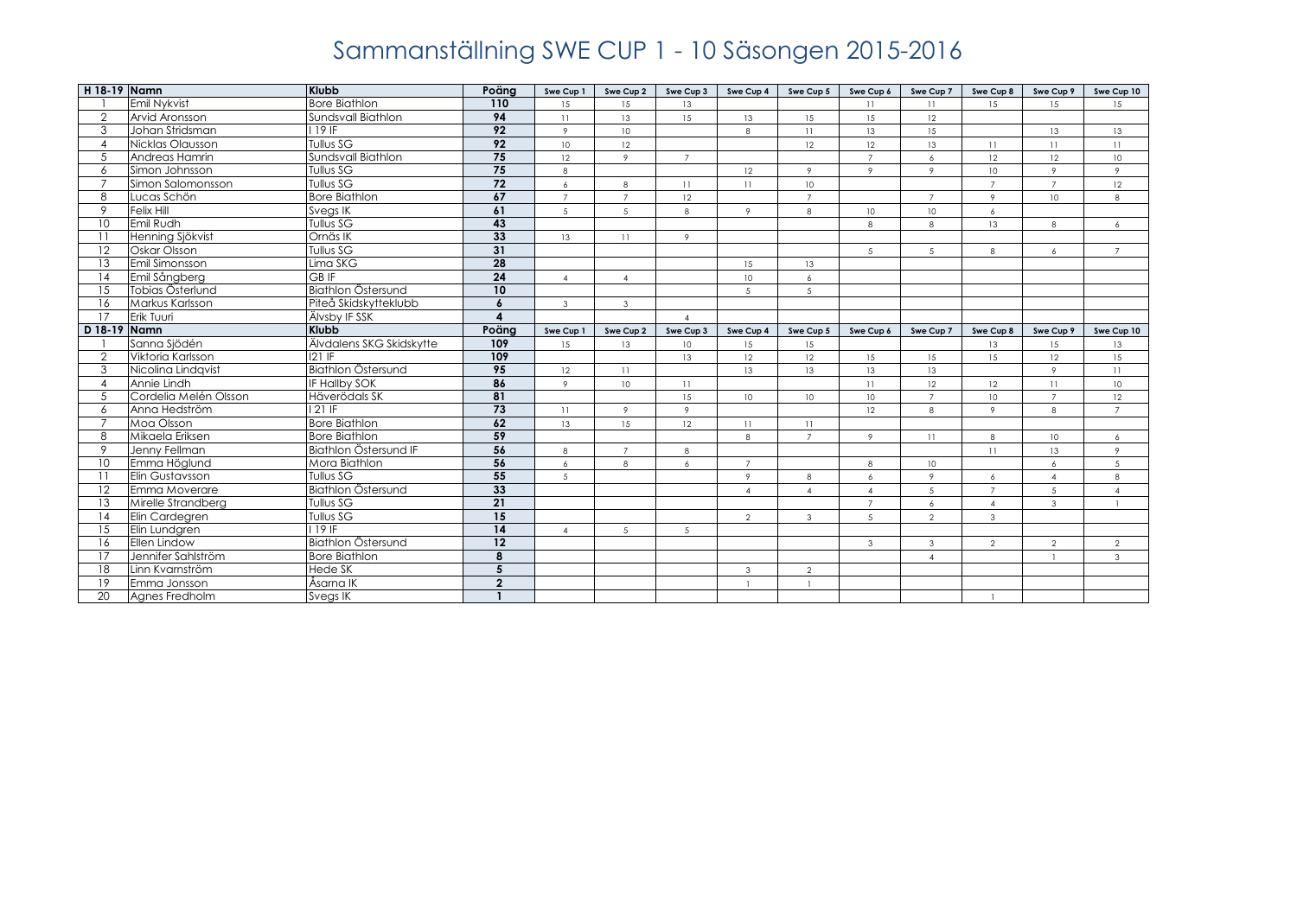| H 18-19 Namn    |                       | <b>Klubb</b>                 | Poäng            | Swe Cup 1       | Swe Cup 2        | Swe Cup 3   | Swe Cup 4              | Swe Cup 5       | Swe Cup 6      | Swe Cup 7        | Swe Cup 8      | Swe Cup 9        | Swe Cup 10     |
|-----------------|-----------------------|------------------------------|------------------|-----------------|------------------|-------------|------------------------|-----------------|----------------|------------------|----------------|------------------|----------------|
|                 | Emil Nykvist          | <b>Bore Biathlon</b>         | 110              | 15              | 15               | 13          |                        |                 | 11             | 11               | 15             | 15               | 15             |
| $\overline{2}$  | Arvid Aronsson        | Sundsvall Biathlon           | 94               | 11              | 13               | 15          | 13                     | 15              | 15             | 12               |                |                  |                |
| 3               | Johan Stridsman       | 119 IF                       | $\overline{92}$  | 9               | 10 <sup>10</sup> |             | 8                      | 11              | 13             | 15               |                | 13               | 13             |
| $\overline{4}$  | Nicklas Olausson      | <b>Tullus SG</b>             | $\overline{92}$  | 10 <sup>1</sup> | 12               |             |                        | 12              | 12             | 13               | 11             | 11               | 11             |
| $\overline{5}$  | Andreas Hamrin        | Sundsvall Biathlon           | 75               | 12              | $\circ$          | $7^{\circ}$ |                        |                 | $7^{\circ}$    | 6                | 12             | 12               | 10             |
| 6               | Simon Johnsson        | Tullus SG                    | 75               | 8               |                  |             | 12                     | 9               | $\circ$        | $\overline{9}$   | 10             | 9                | $\mathcal{P}$  |
| $\overline{7}$  | Simon Salomonsson     | Tullus SG                    | 72               | 6               | 8                | 11          | 11                     | 10 <sup>°</sup> |                |                  | $\overline{7}$ | $\overline{7}$   | 12             |
| 8               | Lucas Schön           | <b>Bore Biathlon</b>         | 67               | $\overline{7}$  | $\overline{7}$   | 12          |                        | $\overline{7}$  |                | $\overline{7}$   | $\mathbf{Q}$   | 10 <sup>10</sup> | 8              |
| 9               | <b>Felix Hill</b>     | Svegs IK                     | 61               | 5               | $\overline{5}$   | 8           | $\overline{9}$         | 8               | 10             | 10               | 6              |                  |                |
| 10 <sup>°</sup> | Emil Rudh             | Tullus SG                    | 43               |                 |                  |             |                        |                 | 8              | 8                | 13             | 8                | 6              |
| 11              | Henning Sjökvist      | Ornäs IK                     | 33               | 13              | 11               | 9           |                        |                 |                |                  |                |                  |                |
| 12              | Oskar Olsson          | Tullus SG                    | 31               |                 |                  |             |                        |                 | 5              | 5                | 8              | 6                | $\overline{7}$ |
| 13              | Emil Simonsson        | Lima SKG                     | 28               |                 |                  |             | 15                     | 13              |                |                  |                |                  |                |
| 14              | Emil Sångberg         | <b>GBIF</b>                  | $\overline{24}$  | $\overline{4}$  | $\overline{4}$   |             | 10 <sup>°</sup>        | 6               |                |                  |                |                  |                |
| 15              | Tobias Österlund      | Biathlon Östersund           | 10               |                 |                  |             | 5                      | 5               |                |                  |                |                  |                |
| 16              | Markus Karlsson       | Piteå Skidskytteklubb        | 6                | $\mathbf{3}$    | $\mathbf{3}$     |             |                        |                 |                |                  |                |                  |                |
| 17              | Erik Tuuri            | <b>Älvsby IF SSK</b>         | $\boldsymbol{4}$ |                 |                  | $\Delta$    |                        |                 |                |                  |                |                  |                |
| D 18-19         | Namn                  | <b>Klubb</b>                 | Poäng            | Swe Cup 1       | Swe Cup 2        | Swe Cup 3   | Swe Cup 4              | Swe Cup 5       | Swe Cup 6      | Swe Cup 7        | Swe Cup 8      | Swe Cup 9        | Swe Cup 10     |
|                 | Sanna Sjödén          | Älvdalens SKG Skidskytte     | 109              | 15              | 13               | 10          | 15                     | 15              |                |                  | 13             | 15               | 13             |
| 2               | Viktoria Karlsson     | <b>121 IF</b>                | 109              |                 |                  | 13          | 12                     | 12              | 15             | 15               | 15             | 12               | 15             |
| 3               | Nicolina Lindavist    | Biathlon Östersund           | 95               | 12              | 11               |             | 13                     | 13              | 13             | 13               |                | 9                | 11             |
| $\overline{4}$  | Annie Lindh           | IF Hallby SOK                | 86               | 9               | 10               | 11          |                        |                 | 11             | 12               | 12             | 11               | 10             |
| 5               | Cordelia Melén Olsson | Häverödals SK                | 81               |                 |                  | 15          | 10                     | 10              | 10             | $\overline{7}$   | 10             | $\overline{7}$   | 12             |
| 6               | Anna Hedström         | $21$ IF                      | 73               | 11              | 9                | $\circ$     |                        |                 | 12             | 8                | $\circ$        | 8                | $\overline{7}$ |
| $\overline{7}$  | Moa Olsson            | <b>Bore Biathlon</b>         | 62               | 13              | 15               | 12          | 11                     | 11              |                |                  |                |                  |                |
| 8               | Mikaela Eriksen       | <b>Bore Biathlon</b>         | 59               |                 |                  |             | 8                      | $\overline{7}$  | $\overline{9}$ | 11               | 8              | $10 -$           | 6              |
| 9               | Jenny Fellman         | <b>Biathlon Östersund IF</b> | 56               | 8               | $7^{\circ}$      | 8           |                        |                 |                |                  | 11             | 13               | 9              |
| 10              | Emma Höglund          | Mora Biathlon                | 56               | 6               | 8                | 6           | $\overline{7}$         |                 | 8              | 10               |                | 6                | $\sqrt{5}$     |
| 11              | Elin Gustavsson       | Tullus SG                    | 55               | 5               |                  |             | $\circ$                | 8               | 6              | $\overline{9}$   | 6              | $\overline{4}$   | 8              |
| 12              | Emma Moverare         | Biathlon Östersund           | 33               |                 |                  |             | $\boldsymbol{\Lambda}$ | $\Delta$        | $\overline{4}$ | 5                | $\overline{7}$ | 5                | $\overline{4}$ |
| 13              | Mirelle Strandberg    | Tullus SG                    | $\overline{21}$  |                 |                  |             |                        |                 | $\overline{7}$ | 6                | $\overline{4}$ | $\mathbf{3}$     | $\mathbf{1}$   |
| 14              | Elin Cardegren        | Tullus SG                    | $\overline{15}$  |                 |                  |             | 2                      | $\mathbf{3}$    | 5              | 2                | $\mathbf{3}$   |                  |                |
| 15              | Elin Lundgren         | 19IF                         | $\overline{14}$  | $\overline{4}$  | 5                | 5           |                        |                 |                |                  |                |                  |                |
| 16              | Ellen Lindow          | <b>Biathlon Östersund</b>    | 12               |                 |                  |             |                        |                 | 3              | $\mathbf{3}$     | $\mathcal{P}$  | $\overline{2}$   | $\overline{2}$ |
| 17              | Jennifer Sahlström    | <b>Bore Biathlon</b>         | 8                |                 |                  |             |                        |                 |                | $\blacktriangle$ |                |                  | $\mathbf{3}$   |
| 18              | Linn Kvarnström       | Hede SK                      | 5                |                 |                  |             | $\mathbf{3}$           | $\overline{2}$  |                |                  |                |                  |                |
| 19              | Emma Jonsson          | Åsarna IK                    | $\overline{2}$   |                 |                  |             | $\overline{1}$         |                 |                |                  |                |                  |                |
| 20              | Agnes Fredholm        | Svegs IK                     |                  |                 |                  |             |                        |                 |                |                  |                |                  |                |